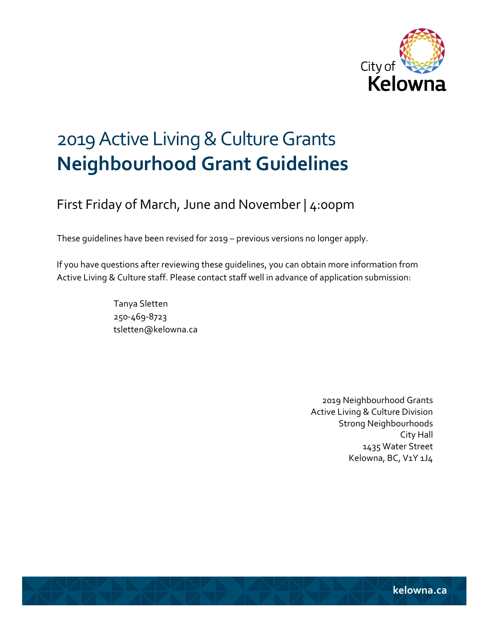

# 2019 Active Living & Culture Grants **Neighbourhood Grant Guidelines**

# First Friday of March, June and November | 4:00pm

These guidelines have been revised for 2019 – previous versions no longer apply.

If you have questions after reviewing these guidelines, you can obtain more information from Active Living & Culture staff. Please contact staff well in advance of application submission:

> Tanya Sletten 250-469-8723 tsletten@kelowna.ca

> > 2019 Neighbourhood Grants Active Living & Culture Division Strong Neighbourhoods City Hall 1435 Water Street Kelowna, BC, V1Y 1J4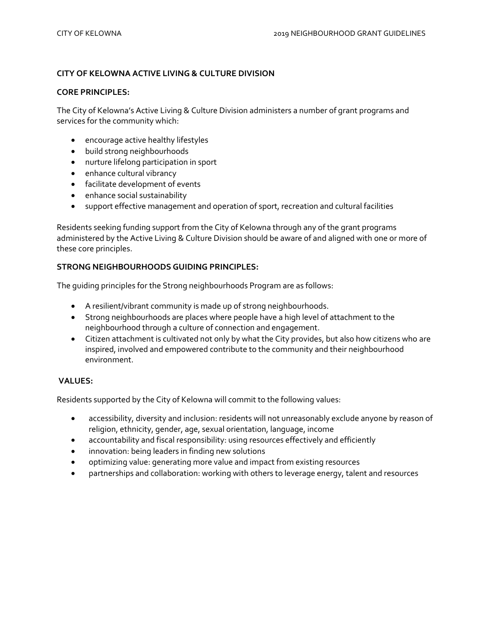# **CITY OF KELOWNA ACTIVE LIVING & CULTURE DIVISION**

#### **CORE PRINCIPLES:**

The City of Kelowna's Active Living & Culture Division administers a number of grant programs and services for the community which:

- encourage active healthy lifestyles
- build strong neighbourhoods
- nurture lifelong participation in sport
- enhance cultural vibrancy
- facilitate development of events
- enhance social sustainability
- support effective management and operation of sport, recreation and cultural facilities

Residents seeking funding support from the City of Kelowna through any of the grant programs administered by the Active Living & Culture Division should be aware of and aligned with one or more of these core principles.

# **STRONG NEIGHBOURHOODS GUIDING PRINCIPLES:**

The guiding principles for the Strong neighbourhoods Program are as follows:

- A resilient/vibrant community is made up of strong neighbourhoods.
- Strong neighbourhoods are places where people have a high level of attachment to the neighbourhood through a culture of connection and engagement.
- Citizen attachment is cultivated not only by what the City provides, but also how citizens who are inspired, involved and empowered contribute to the community and their neighbourhood environment.

### **VALUES:**

Residents supported by the City of Kelowna will commit to the following values:

- accessibility, diversity and inclusion: residents will not unreasonably exclude anyone by reason of religion, ethnicity, gender, age, sexual orientation, language, income
- accountability and fiscal responsibility: using resources effectively and efficiently
- innovation: being leaders in finding new solutions
- optimizing value: generating more value and impact from existing resources
- partnerships and collaboration: working with others to leverage energy, talent and resources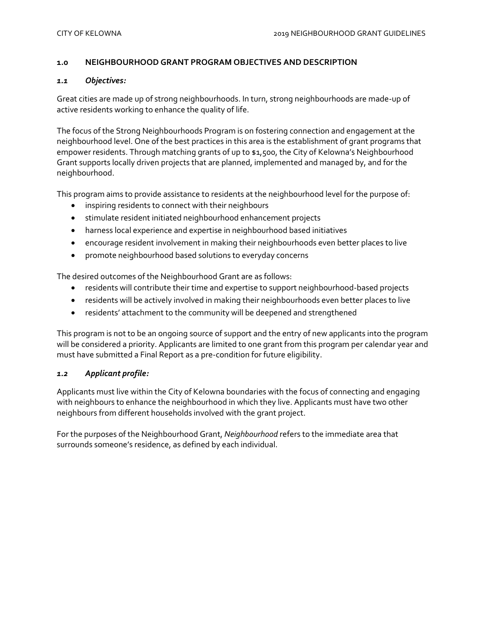#### **1.0 NEIGHBOURHOOD GRANT PROGRAM OBJECTIVES AND DESCRIPTION**

#### *1.1 Objectives:*

Great cities are made up of strong neighbourhoods. In turn, strong neighbourhoods are made-up of active residents working to enhance the quality of life.

The focus of the Strong Neighbourhoods Program is on fostering connection and engagement at the neighbourhood level. One of the best practices in this area is the establishment of grant programs that empower residents. Through matching grants of up to \$1,500, the City of Kelowna's Neighbourhood Grant supports locally driven projects that are planned, implemented and managed by, and for the neighbourhood.

This program aims to provide assistance to residents at the neighbourhood level for the purpose of:

- inspiring residents to connect with their neighbours
- stimulate resident initiated neighbourhood enhancement projects
- harness local experience and expertise in neighbourhood based initiatives
- encourage resident involvement in making their neighbourhoods even better places to live
- promote neighbourhood based solutions to everyday concerns

The desired outcomes of the Neighbourhood Grant are as follows:

- residents will contribute their time and expertise to support neighbourhood-based projects
- residents will be actively involved in making their neighbourhoods even better places to live
- residents' attachment to the community will be deepened and strengthened

This program is not to be an ongoing source of support and the entry of new applicants into the program will be considered a priority. Applicants are limited to one grant from this program per calendar year and must have submitted a Final Report as a pre-condition for future eligibility.

#### *1.2 Applicant profile:*

Applicants must live within the City of Kelowna boundaries with the focus of connecting and engaging with neighbours to enhance the neighbourhood in which they live. Applicants must have two other neighbours from different households involved with the grant project.

For the purposes of the Neighbourhood Grant, *Neighbourhood* refers to the immediate area that surrounds someone's residence, as defined by each individual.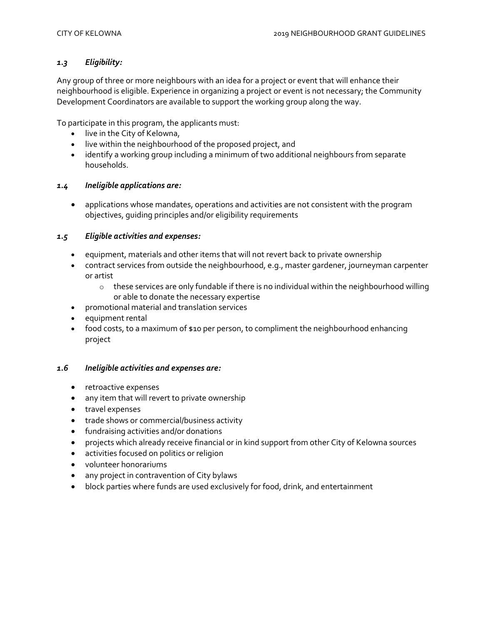# *1.3 Eligibility:*

Any group of three or more neighbours with an idea for a project or event that will enhance their neighbourhood is eligible. Experience in organizing a project or event is not necessary; the Community Development Coordinators are available to support the working group along the way.

To participate in this program, the applicants must:

- live in the City of Kelowna,
- live within the neighbourhood of the proposed project, and
- identify a working group including a minimum of two additional neighbours from separate households.

#### *1.4 Ineligible applications are:*

 applications whose mandates, operations and activities are not consistent with the program objectives, guiding principles and/or eligibility requirements

# *1.5 Eligible activities and expenses:*

- equipment, materials and other items that will not revert back to private ownership
- contract services from outside the neighbourhood, e.g., master gardener, journeyman carpenter or artist
	- o these services are only fundable if there is no individual within the neighbourhood willing or able to donate the necessary expertise
- promotional material and translation services
- equipment rental
- food costs, to a maximum of \$10 per person, to compliment the neighbourhood enhancing project

#### *1.6 Ineligible activities and expenses are:*

- retroactive expenses
- any item that will revert to private ownership
- travel expenses
- trade shows or commercial/business activity
- fundraising activities and/or donations
- projects which already receive financial or in kind support from other City of Kelowna sources
- activities focused on politics or religion
- volunteer honorariums
- any project in contravention of City bylaws
- block parties where funds are used exclusively for food, drink, and entertainment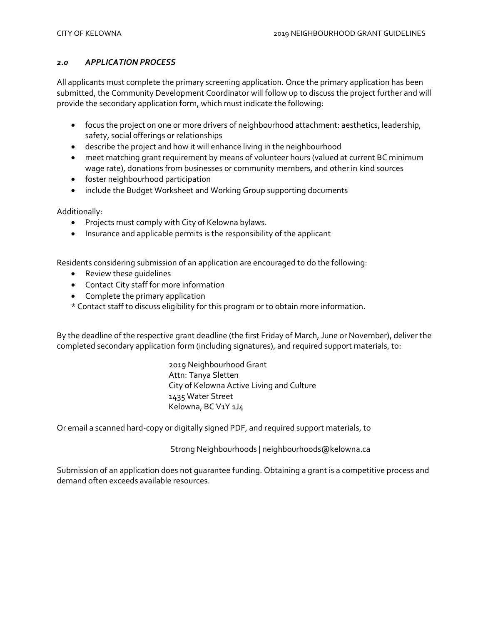# *2.0 APPLICATION PROCESS*

All applicants must complete the primary screening application. Once the primary application has been submitted, the Community Development Coordinator will follow up to discuss the project further and will provide the secondary application form, which must indicate the following:

- focus the project on one or more drivers of neighbourhood attachment: aesthetics, leadership, safety, social offerings or relationships
- describe the project and how it will enhance living in the neighbourhood
- meet matching grant requirement by means of volunteer hours (valued at current BC minimum wage rate), donations from businesses or community members, and other in kind sources
- **•** foster neighbourhood participation
- include the Budget Worksheet and Working Group supporting documents

Additionally:

- Projects must comply with City of Kelowna bylaws.
- Insurance and applicable permits is the responsibility of the applicant

Residents considering submission of an application are encouraged to do the following:

- Review these guidelines
- Contact City staff for more information
- Complete the primary application
- \* Contact staff to discuss eligibility for this program or to obtain more information.

By the deadline of the respective grant deadline (the first Friday of March, June or November), deliver the completed secondary application form (including signatures), and required support materials, to:

> 2019 Neighbourhood Grant Attn: Tanya Sletten City of Kelowna Active Living and Culture 1435 Water Street Kelowna, BC V1Y 1J4

Or email a scanned hard-copy or digitally signed PDF, and required support materials, to

Strong Neighbourhoods | neighbourhoods@kelowna.ca

Submission of an application does not guarantee funding. Obtaining a grant is a competitive process and demand often exceeds available resources.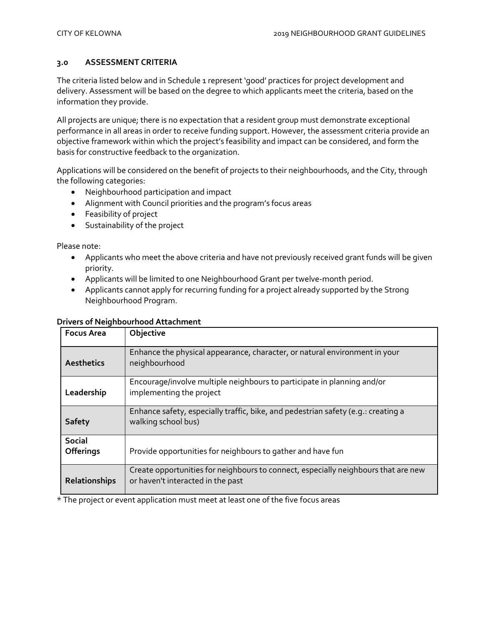# **3.0 ASSESSMENT CRITERIA**

The criteria listed below and in Schedule 1 represent 'good' practices for project development and delivery. Assessment will be based on the degree to which applicants meet the criteria, based on the information they provide.

All projects are unique; there is no expectation that a resident group must demonstrate exceptional performance in all areas in order to receive funding support. However, the assessment criteria provide an objective framework within which the project's feasibility and impact can be considered, and form the basis for constructive feedback to the organization.

Applications will be considered on the benefit of projects to their neighbourhoods, and the City, through the following categories:

- Neighbourhood participation and impact
- Alignment with Council priorities and the program's focus areas
- Feasibility of project
- Sustainability of the project

Please note:

- Applicants who meet the above criteria and have not previously received grant funds will be given priority.
- Applicants will be limited to one Neighbourhood Grant per twelve-month period.
- Applicants cannot apply for recurring funding for a project already supported by the Strong Neighbourhood Program.

#### **Drivers of Neighbourhood Attachment**

| <b>Focus Area</b>                 | Objective                                                                                                               |
|-----------------------------------|-------------------------------------------------------------------------------------------------------------------------|
| Aesthetics                        | Enhance the physical appearance, character, or natural environment in your<br>neighbourhood                             |
| Leadership                        | Encourage/involve multiple neighbours to participate in planning and/or<br>implementing the project                     |
| <b>Safety</b>                     | Enhance safety, especially traffic, bike, and pedestrian safety (e.g.: creating a<br>walking school bus)                |
| <b>Social</b><br><b>Offerings</b> | Provide opportunities for neighbours to gather and have fun                                                             |
| <b>Relationships</b>              | Create opportunities for neighbours to connect, especially neighbours that are new<br>or haven't interacted in the past |

\* The project or event application must meet at least one of the five focus areas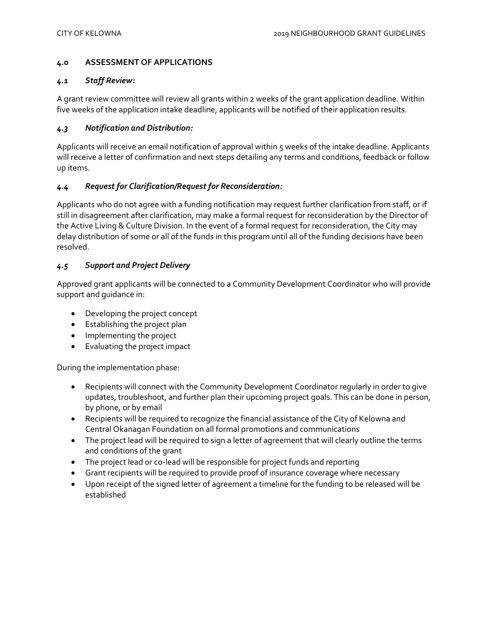### **4.0 ASSESSMENT OF APPLICATIONS**

#### *4.1 Staff Review:*

A grant review committee will review all grants within 2 weeks of the grant application deadline. Within five weeks of the application intake deadline, applicants will be notified of their application results.

# *4.3 Notification and Distribution:*

Applicants will receive an email notification of approval within 5 weeks of the intake deadline. Applicants will receive a letter of confirmation and next steps detailing any terms and conditions, feedback or follow up items.

# *4.4 Request for Clarification/Request for Reconsideration:*

Applicants who do not agree with a funding notification may request further clarification from staff, or if still in disagreement after clarification, may make a formal request for reconsideration by the Director of the Active Living & Culture Division. In the event of a formal request for reconsideration, the City may delay distribution of some or all of the funds in this program until all of the funding decisions have been resolved.

# *4.5 Support and Project Delivery*

Approved grant applicants will be connected to a Community Development Coordinator who will provide support and guidance in:

- Developing the project concept
- Establishing the project plan
- Implementing the project
- Evaluating the project impact

During the implementation phase:

- Recipients will connect with the Community Development Coordinator regularly in order to give updates, troubleshoot, and further plan their upcoming project goals. This can be done in person, by phone, or by email
- Recipients will be required to recognize the financial assistance of the City of Kelowna and Central Okanagan Foundation on all formal promotions and communications
- The project lead will be required to sign a letter of agreement that will clearly outline the terms and conditions of the grant
- The project lead or co-lead will be responsible for project funds and reporting
- Grant recipients will be required to provide proof of insurance coverage where necessary
- Upon receipt of the signed letter of agreement a timeline for the funding to be released will be established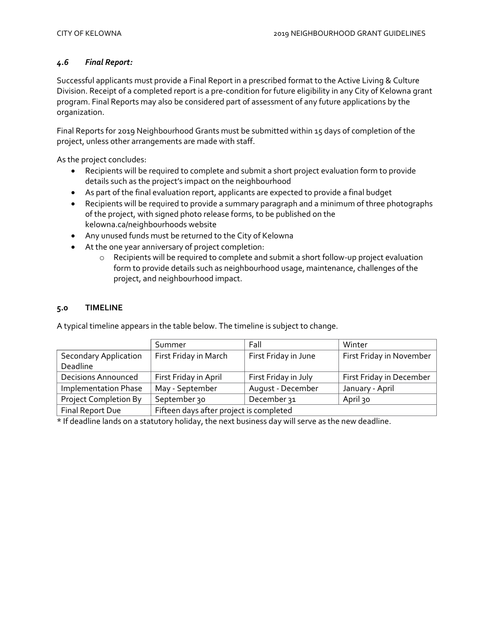# *4.6 Final Report:*

Successful applicants must provide a Final Report in a prescribed format to the Active Living & Culture Division. Receipt of a completed report is a pre-condition for future eligibility in any City of Kelowna grant program. Final Reports may also be considered part of assessment of any future applications by the organization.

Final Reports for 2019 Neighbourhood Grants must be submitted within 15 days of completion of the project, unless other arrangements are made with staff.

As the project concludes:

- Recipients will be required to complete and submit a short project evaluation form to provide details such as the project's impact on the neighbourhood
- As part of the final evaluation report, applicants are expected to provide a final budget
- Recipients will be required to provide a summary paragraph and a minimum of three photographs of the project, with signed photo release forms, to be published on the kelowna.ca/neighbourhoods website
- Any unused funds must be returned to the City of Kelowna
- At the one year anniversary of project completion:
	- o Recipients will be required to complete and submit a short follow-up project evaluation form to provide details such as neighbourhood usage, maintenance, challenges of the project, and neighbourhood impact.

#### **5.0 TIMELINE**

|                              | Summer                                  | Fall                 | Winter                   |  |
|------------------------------|-----------------------------------------|----------------------|--------------------------|--|
| <b>Secondary Application</b> | First Friday in March                   | First Friday in June | First Friday in November |  |
| Deadline                     |                                         |                      |                          |  |
| <b>Decisions Announced</b>   | First Friday in April                   | First Friday in July | First Friday in December |  |
| <b>Implementation Phase</b>  | May - September                         | August - December    | January - April          |  |
| <b>Project Completion By</b> | September 30                            | December 31          | April 30                 |  |
| Final Report Due             | Fifteen days after project is completed |                      |                          |  |

A typical timeline appears in the table below. The timeline is subject to change.

\* If deadline lands on a statutory holiday, the next business day will serve as the new deadline.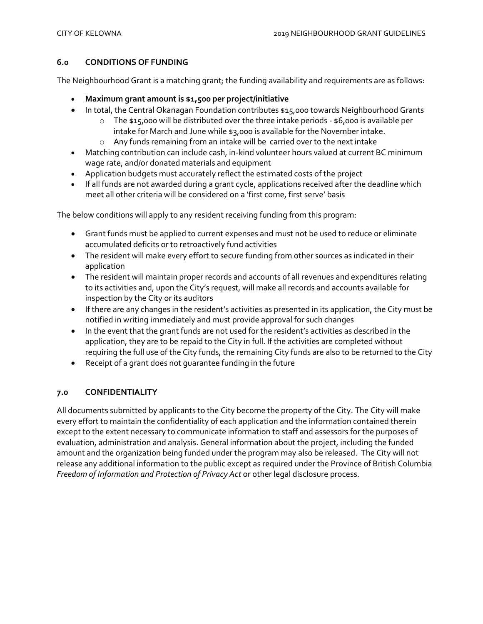# **6.0 CONDITIONS OF FUNDING**

The Neighbourhood Grant is a matching grant; the funding availability and requirements are as follows:

- **Maximum grant amount is \$1,500 per project/initiative**
- In total, the Central Okanagan Foundation contributes \$15,000 towards Neighbourhood Grants
	- $\circ$  The \$15,000 will be distributed over the three intake periods \$6,000 is available per intake for March and June while \$3,000 is available for the November intake.
	- o Any funds remaining from an intake will be carried over to the next intake
- Matching contribution can include cash, in-kind volunteer hours valued at current BC minimum wage rate, and/or donated materials and equipment
- Application budgets must accurately reflect the estimated costs of the project
- If all funds are not awarded during a grant cycle, applications received after the deadline which meet all other criteria will be considered on a 'first come, first serve' basis

The below conditions will apply to any resident receiving funding from this program:

- Grant funds must be applied to current expenses and must not be used to reduce or eliminate accumulated deficits or to retroactively fund activities
- The resident will make every effort to secure funding from other sources as indicated in their application
- The resident will maintain proper records and accounts of all revenues and expenditures relating to its activities and, upon the City's request, will make all records and accounts available for inspection by the City or its auditors
- If there are any changes in the resident's activities as presented in its application, the City must be notified in writing immediately and must provide approval for such changes
- In the event that the grant funds are not used for the resident's activities as described in the application, they are to be repaid to the City in full. If the activities are completed without requiring the full use of the City funds, the remaining City funds are also to be returned to the City
- Receipt of a grant does not guarantee funding in the future

# **7.0 CONFIDENTIALITY**

All documents submitted by applicants to the City become the property of the City. The City will make every effort to maintain the confidentiality of each application and the information contained therein except to the extent necessary to communicate information to staff and assessors for the purposes of evaluation, administration and analysis. General information about the project, including the funded amount and the organization being funded under the program may also be released. The City will not release any additional information to the public except as required under the Province of British Columbia *Freedom of Information and Protection of Privacy Act* or other legal disclosure process.